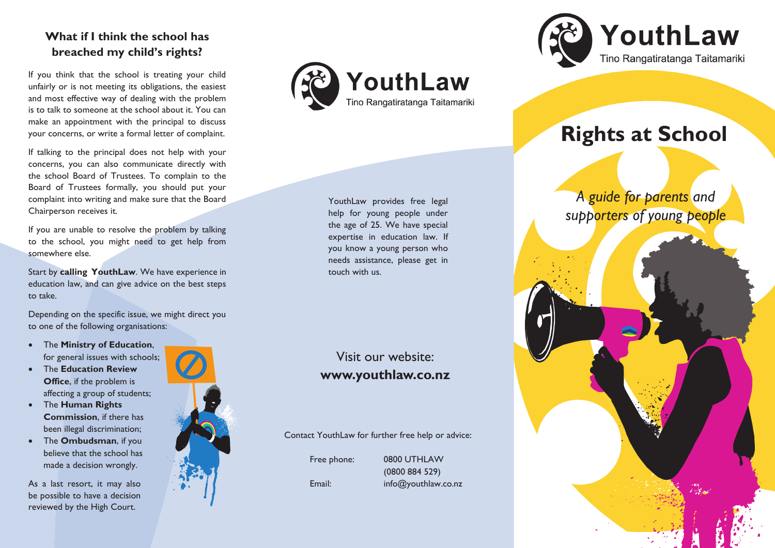# **What if I think the school has breached my child's rights?**

If you think that the school is treating your child unfairly or is not meeting its obligations, the easiest and most effective way of dealing with the problem is to talk to someone at the school about it. You can make an appointment with the principal to discuss your concerns, or write a formal letter of complaint.

If talking to the principal does not help with your concerns, you can also communicate directly with the school Board of Trustees. To complain to the Board of Trustees formally, you should put your complaint into writing and make sure that the Board Chairperson receives it.

If you are unable to resolve the problem by talking to the school, you might need to get help from somewhere else.

Start by **calling YouthLaw**. We have experience in education law, and can give advice on the best steps to take.

Depending on the specific issue, we might direct you to one of the following organisations:

- The **Ministry of Education**, for general issues with schools;
- The **Education Review Office**, if the problem is affecting a group of students;
- The **Human Rights Commission**, if there has been illegal discrimination;
- The **Ombudsman**, if you believe that the school has made a decision wrongly.

As a last resort, it may also be possible to have a decision reviewed by the High Court.





YouthLaw provides free legal help for young people under the age of 25. We have special expertise in education law. If you know a young person who needs assistance, please get in touch with us.

# Visit our website: **www.youthlaw.co.nz**

Contact YouthLaw for further free help or advice:

(0800 884 529)

Free phone: 0800 UTHLAW

Email: info@youthlaw.co.nz



# **Rights at School**

*A guide for parents and supporters of young people*